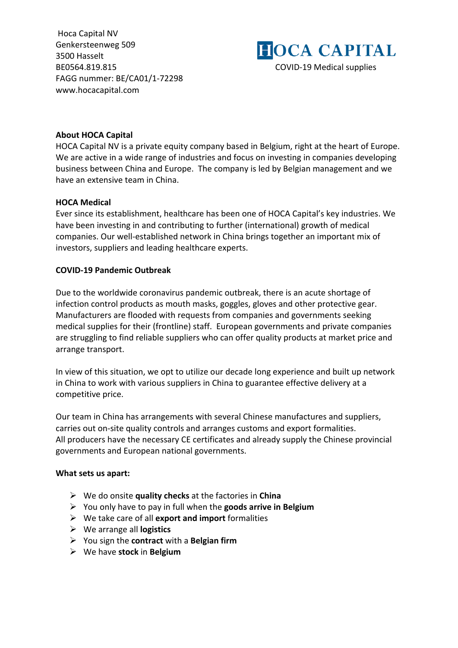Hoca Capital NV Genkersteenweg 509 3500 Hasselt FAGG nummer: BE/CA01/1-72298 www.hocacapital.com



# **About HOCA Capital**

HOCA Capital NV is a private equity company based in Belgium, right at the heart of Europe. We are active in a wide range of industries and focus on investing in companies developing business between China and Europe. The company is led by Belgian management and we have an extensive team in China.

#### **HOCA Medical**

Ever since its establishment, healthcare has been one of HOCA Capital's key industries. We have been investing in and contributing to further (international) growth of medical companies. Our well-established network in China brings together an important mix of investors, suppliers and leading healthcare experts.

#### **COVID-19 Pandemic Outbreak**

Due to the worldwide coronavirus pandemic outbreak, there is an acute shortage of infection control products as mouth masks, goggles, gloves and other protective gear. Manufacturers are flooded with requests from companies and governments seeking medical supplies for their (frontline) staff. European governments and private companies are struggling to find reliable suppliers who can offer quality products at market price and arrange transport.

In view of this situation, we opt to utilize our decade long experience and built up network in China to work with various suppliers in China to guarantee effective delivery at a competitive price.

Our team in China has arrangements with several Chinese manufactures and suppliers, carries out on-site quality controls and arranges customs and export formalities. All producers have the necessary CE certificates and already supply the Chinese provincial governments and European national governments.

#### **What sets us apart:**

- $\triangleright$  We do onsite **quality checks** at the factories in **China**
- $\triangleright$  You only have to pay in full when the **goods arrive in Belgium**
- $\triangleright$  We take care of all **export and import** formalities
- Ø We arrange all **logistics**
- $\triangleright$  You sign the **contract** with a **Belgian firm**
- Ø We have **stock** in **Belgium**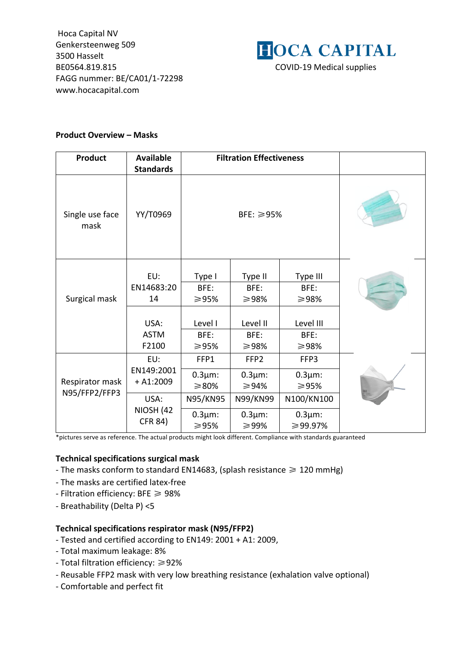Hoca Capital NV Genkersteenweg 509 3500 Hasselt BE0564.819.815 COVID-19 Medical supplies FAGG nummer: BE/CA01/1-72298 www.hocacapital.com



#### **Product Overview – Masks**

| <b>Product</b>                   | <b>Available</b><br><b>Standards</b>        |                                      | <b>Filtration Effectiveness</b>           |                                        |  |
|----------------------------------|---------------------------------------------|--------------------------------------|-------------------------------------------|----------------------------------------|--|
| Single use face<br>mask          | YY/T0969                                    | BFE: $\geq 95\%$                     |                                           |                                        |  |
| Surgical mask                    | EU:<br>EN14683:20<br>14                     | Type I<br>BFE:<br>≥95%               | Type II<br>BFE:<br>≥98%                   | Type III<br>BFE:<br>≥98%               |  |
|                                  | USA:<br><b>ASTM</b><br>F2100                | Level I<br>BFE:<br>≥95%              | Level II<br>BFE:<br>≥98%                  | Level III<br>BFE:<br>≥98%              |  |
| Respirator mask<br>N95/FFP2/FFP3 | EU:<br>EN149:2001<br>$+ A1:2009$            | FFP1<br>$0.3 \mu m$ :<br>$\geq 80\%$ | FFP <sub>2</sub><br>$0.3 \mu m$ :<br>≥94% | FFP3<br>$0.3 \mu m$ :<br>≥95%          |  |
|                                  | USA:<br><b>NIOSH (42)</b><br><b>CFR 84)</b> | N95/KN95<br>$0.3 \mu m$ :<br>≥95%    | N99/KN99<br>$0.3 \mu m$ :<br>≥99%         | N100/KN100<br>$0.3 \mu m$ :<br>≥99.97% |  |

\*pictures serve as reference. The actual products might look different. Compliance with standards guaranteed

# **Technical specifications surgical mask**

- The masks conform to standard EN14683, (splash resistance  $\geq 120$  mmHg)
- The masks are certified latex-free
- Filtration efficiency: BFE  $\geq 98\%$
- Breathability (Delta P) <5

#### **Technical specifications respirator mask (N95/FFP2)**

- Tested and certified according to EN149: 2001 + A1: 2009,
- Total maximum leakage: 8%
- Total filtration efficiency: ≥92%
- Reusable FFP2 mask with very low breathing resistance (exhalation valve optional)
- Comfortable and perfect fit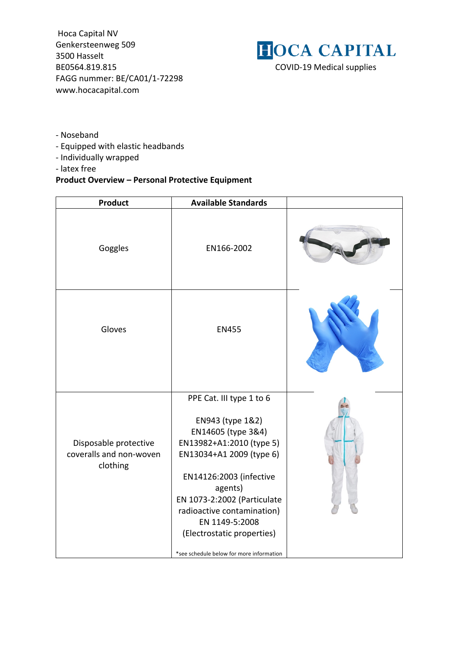Hoca Capital NV Genkersteenweg 509 3500 Hasselt FAGG nummer: BE/CA01/1-72298 www.hocacapital.com



- Noseband
- Equipped with elastic headbands
- Individually wrapped
- latex free

# **Product Overview – Personal Protective Equipment**

| Product                                                      | <b>Available Standards</b>                                                                                                                                                                                                                                                                                                |  |
|--------------------------------------------------------------|---------------------------------------------------------------------------------------------------------------------------------------------------------------------------------------------------------------------------------------------------------------------------------------------------------------------------|--|
| Goggles                                                      | EN166-2002                                                                                                                                                                                                                                                                                                                |  |
| Gloves                                                       | <b>EN455</b>                                                                                                                                                                                                                                                                                                              |  |
| Disposable protective<br>coveralls and non-woven<br>clothing | PPE Cat. III type 1 to 6<br>EN943 (type 1&2)<br>EN14605 (type 3&4)<br>EN13982+A1:2010 (type 5)<br>EN13034+A1 2009 (type 6)<br>EN14126:2003 (infective<br>agents)<br>EN 1073-2:2002 (Particulate<br>radioactive contamination)<br>EN 1149-5:2008<br>(Electrostatic properties)<br>*see schedule below for more information |  |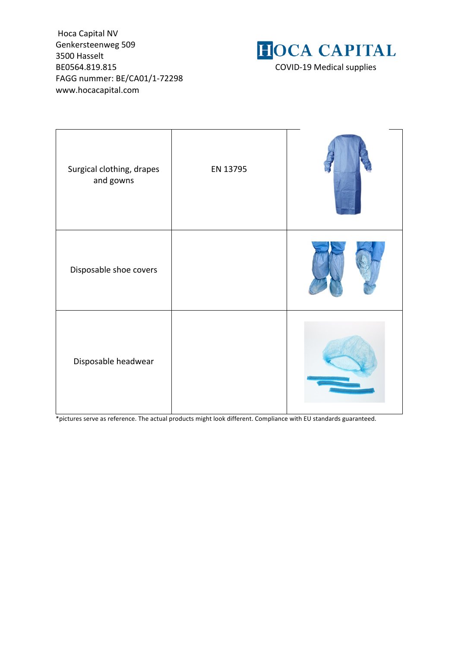Hoca Capital NV Genkersteenweg 509 3500 Hasselt BE0564.819.815 COVID-19 Medical supplies FAGG nummer: BE/CA01/1-72298 www.hocacapital.com



| Surgical clothing, drapes<br>and gowns | EN 13795 |  |
|----------------------------------------|----------|--|
| Disposable shoe covers                 |          |  |
| Disposable headwear                    |          |  |

\*pictures serve as reference. The actual products might look different. Compliance with EU standards guaranteed.